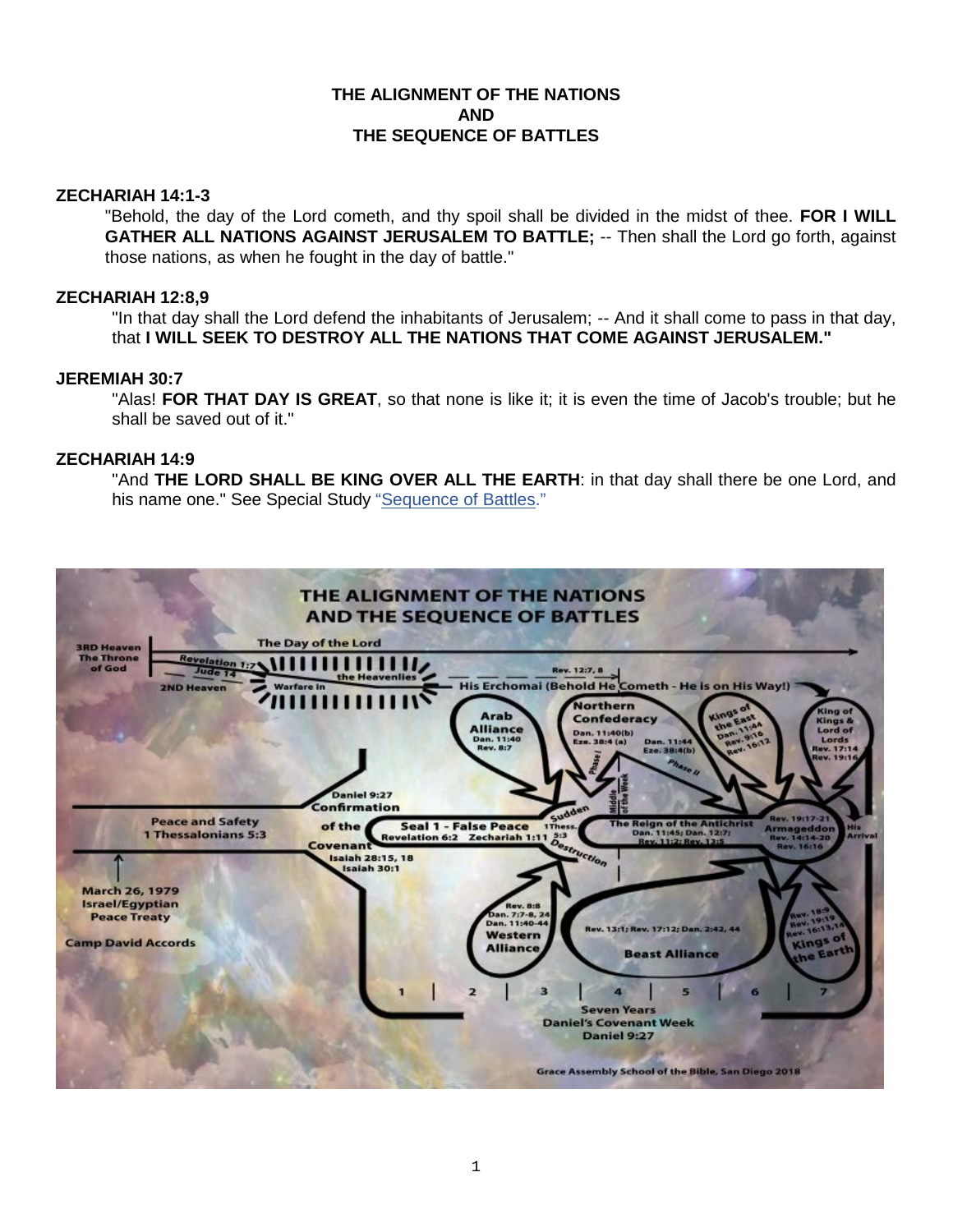## **THE ALIGNMENT OF THE NATIONS AND THE SEQUENCE OF BATTLES**

### **ZECHARIAH 14:1-3**

"Behold, the day of the Lord cometh, and thy spoil shall be divided in the midst of thee. **FOR I WILL GATHER ALL NATIONS AGAINST JERUSALEM TO BATTLE;** -- Then shall the Lord go forth, against those nations, as when he fought in the day of battle."

## **ZECHARIAH 12:8,9**

"In that day shall the Lord defend the inhabitants of Jerusalem; -- And it shall come to pass in that day, that **I WILL SEEK TO DESTROY ALL THE NATIONS THAT COME AGAINST JERUSALEM."**

# **JEREMIAH 30:7**

"Alas! **FOR THAT DAY IS GREAT**, so that none is like it; it is even the time of Jacob's trouble; but he shall be saved out of it."

## **ZECHARIAH 14:9**

"And THE LORD SHALL BE KING OVER ALL THE EARTH: in that day shall there be one Lord, and his name one." See Special Study ["Sequence of Battles."](https://graceassemblysandiego.info/wp-content/uploads/SequenceofBattlesopt.pdf)

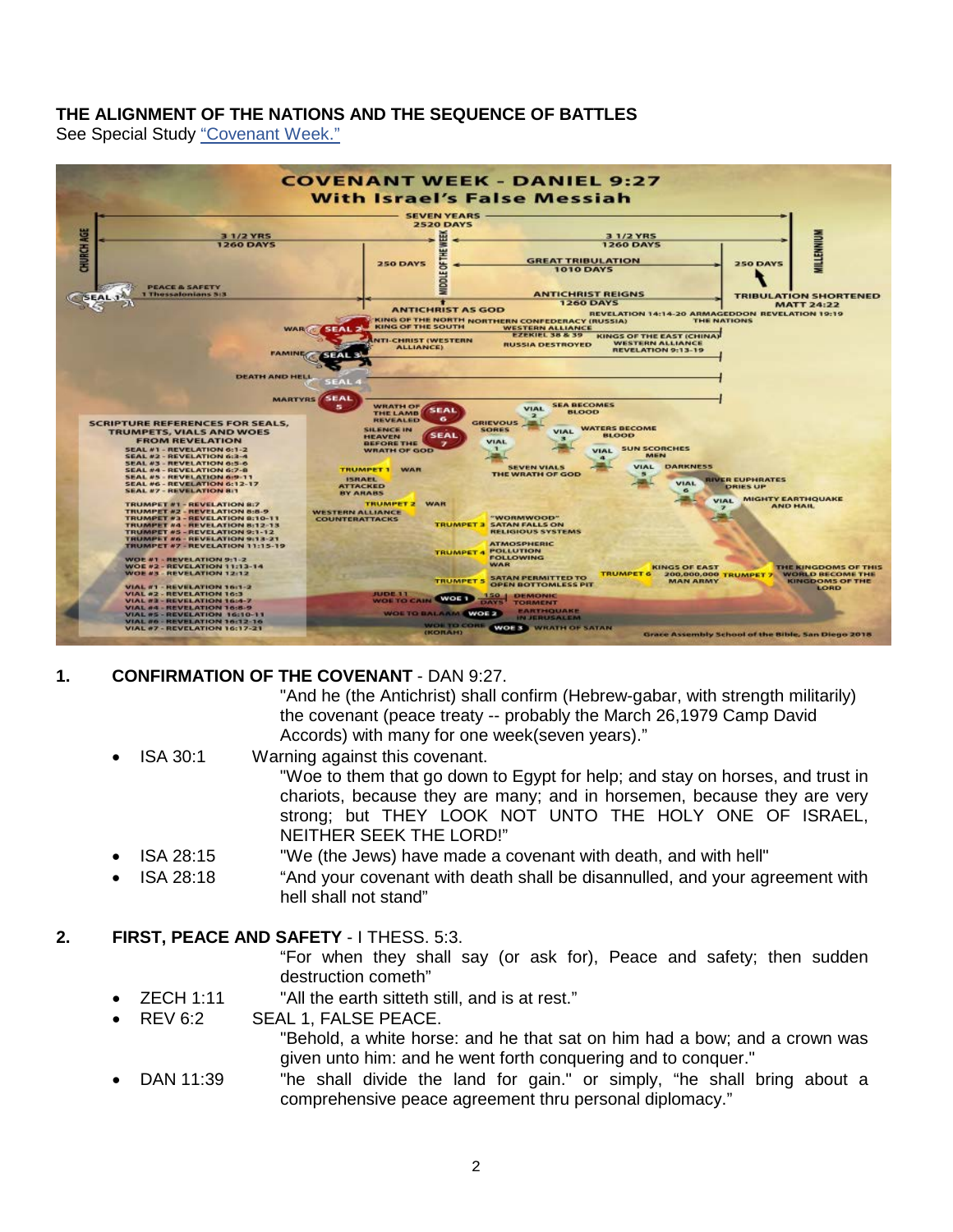## **THE ALIGNMENT OF THE NATIONS AND THE SEQUENCE OF BATTLES**

See Special Study ["Covenant Week."](https://graceassemblysandiego.info/wp-content/uploads/CovenantWeekopt.pdf)



## **1. CONFIRMATION OF THE COVENANT** - DAN 9:27.

"And he (the Antichrist) shall confirm (Hebrew-gabar, with strength militarily) the covenant (peace treaty -- probably the March 26,1979 Camp David Accords) with many for one week(seven years)."

- ISA 30:1 Warning against this covenant. "Woe to them that go down to Egypt for help; and stay on horses, and trust in chariots, because they are many; and in horsemen, because they are very strong; but THEY LOOK NOT UNTO THE HOLY ONE OF ISRAEL, NEITHER SEEK THE LORD!"
- ISA 28:15 "We (the Jews) have made a covenant with death, and with hell"
- ISA 28:18 "And your covenant with death shall be disannulled, and your agreement with hell shall not stand"

## **2. FIRST, PEACE AND SAFETY** - I THESS. 5:3.

"For when they shall say (or ask for), Peace and safety; then sudden destruction cometh"

- ZECH 1:11 "All the earth sitteth still, and is at rest."
- REV 6:2 SEAL 1, FALSE PEACE.

"Behold, a white horse: and he that sat on him had a bow; and a crown was given unto him: and he went forth conquering and to conquer."

• DAN 11:39 "he shall divide the land for gain." or simply, "he shall bring about a comprehensive peace agreement thru personal diplomacy."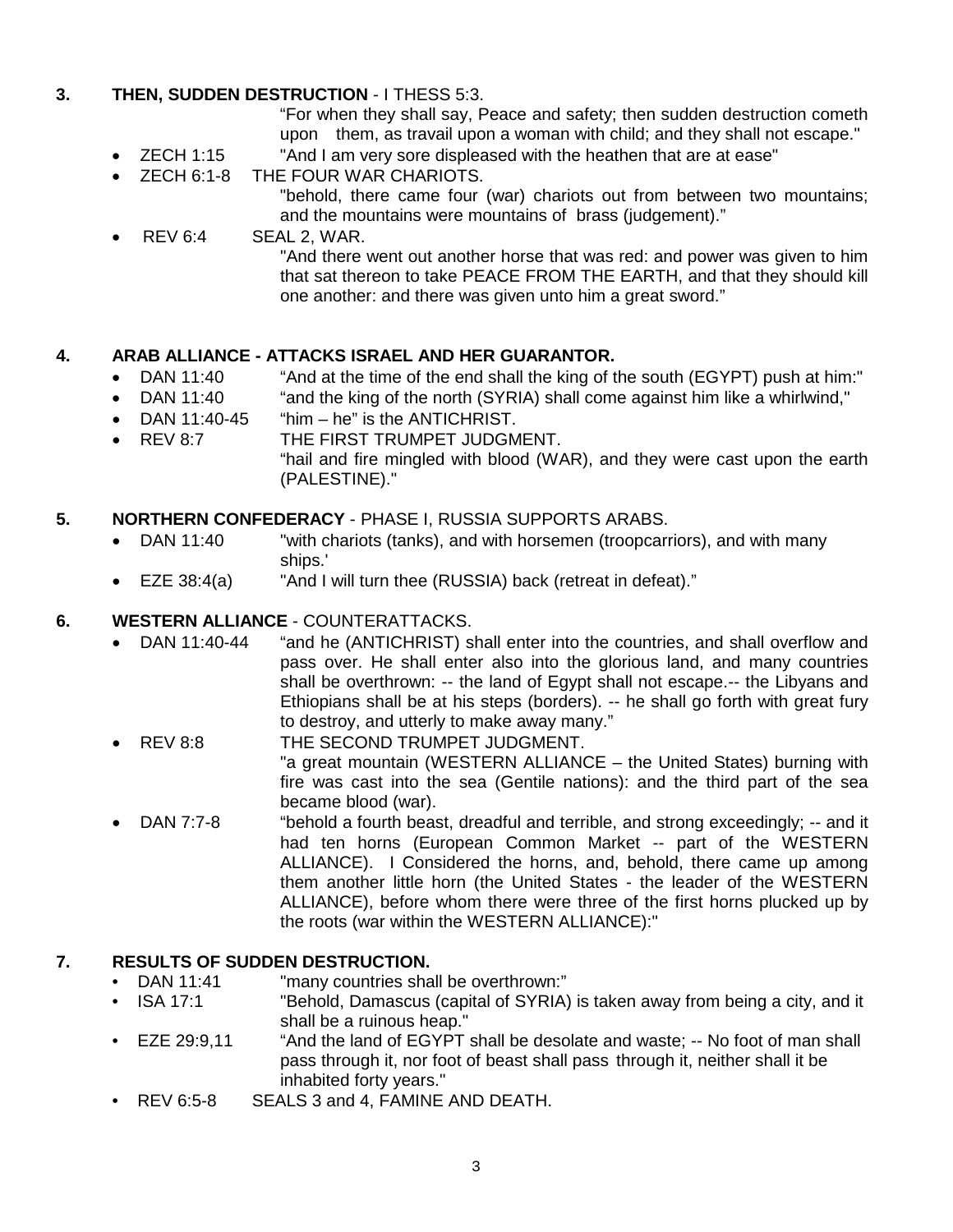# **3. THEN, SUDDEN DESTRUCTION** - I THESS 5:3.

"For when they shall say, Peace and safety; then sudden destruction cometh upon them, as travail upon a woman with child; and they shall not escape."

- ZECH 1:15 "And I am very sore displeased with the heathen that are at ease"
- ZECH 6:1-8 THE FOUR WAR CHARIOTS.
	- "behold, there came four (war) chariots out from between two mountains; and the mountains were mountains of brass (judgement)."
- REV 6:4 SEAL 2, WAR. "And there went out another horse that was red: and power was given to him that sat thereon to take PEACE FROM THE EARTH, and that they should kill one another: and there was given unto him a great sword."

# **4. ARAB ALLIANCE - ATTACKS ISRAEL AND HER GUARANTOR.**

- "And at the time of the end shall the king of the south (EGYPT) push at him:"
- DAN 11:40 "and the king of the north (SYRIA) shall come against him like a whirlwind,"
- DAN 11:40-45 "him he" is the ANTICHRIST.
- REV 8:7 THE FIRST TRUMPET JUDGMENT. "hail and fire mingled with blood (WAR), and they were cast upon the earth (PALESTINE)."

# **5. NORTHERN CONFEDERACY** - PHASE I, RUSSIA SUPPORTS ARABS.

- DAN 11:40 "with chariots (tanks), and with horsemen (troopcarriors), and with many ships.'
- EZE 38:4(a) "And I will turn thee (RUSSIA) back (retreat in defeat)."

# **6. WESTERN ALLIANCE** - COUNTERATTACKS.

- DAN 11:40-44 "and he (ANTICHRIST) shall enter into the countries, and shall overflow and pass over. He shall enter also into the glorious land, and many countries shall be overthrown: -- the land of Egypt shall not escape.-- the Libyans and Ethiopians shall be at his steps (borders). -- he shall go forth with great fury to destroy, and utterly to make away many."
- REV 8:8 THE SECOND TRUMPET JUDGMENT. "a great mountain (WESTERN ALLIANCE – the United States) burning with fire was cast into the sea (Gentile nations): and the third part of the sea became blood (war).
- DAN 7:7-8 "behold a fourth beast, dreadful and terrible, and strong exceedingly; -- and it had ten horns (European Common Market -- part of the WESTERN ALLIANCE). I Considered the horns, and, behold, there came up among them another little horn (the United States - the leader of the WESTERN ALLIANCE), before whom there were three of the first horns plucked up by the roots (war within the WESTERN ALLIANCE):"

# **7. RESULTS OF SUDDEN DESTRUCTION.**

- DAN 11:41 "many countries shall be overthrown:"<br>• ISA 17:1 "Behold. Damascus (capital of SYRIA)
- "Behold, Damascus (capital of SYRIA) is taken away from being a city, and it shall be a ruinous heap."
- EZE 29:9,11 "And the land of EGYPT shall be desolate and waste; -- No foot of man shall pass through it, nor foot of beast shall pass through it, neither shall it be inhabited forty years."
- REV 6:5-8 SEALS 3 and 4, FAMINE AND DEATH.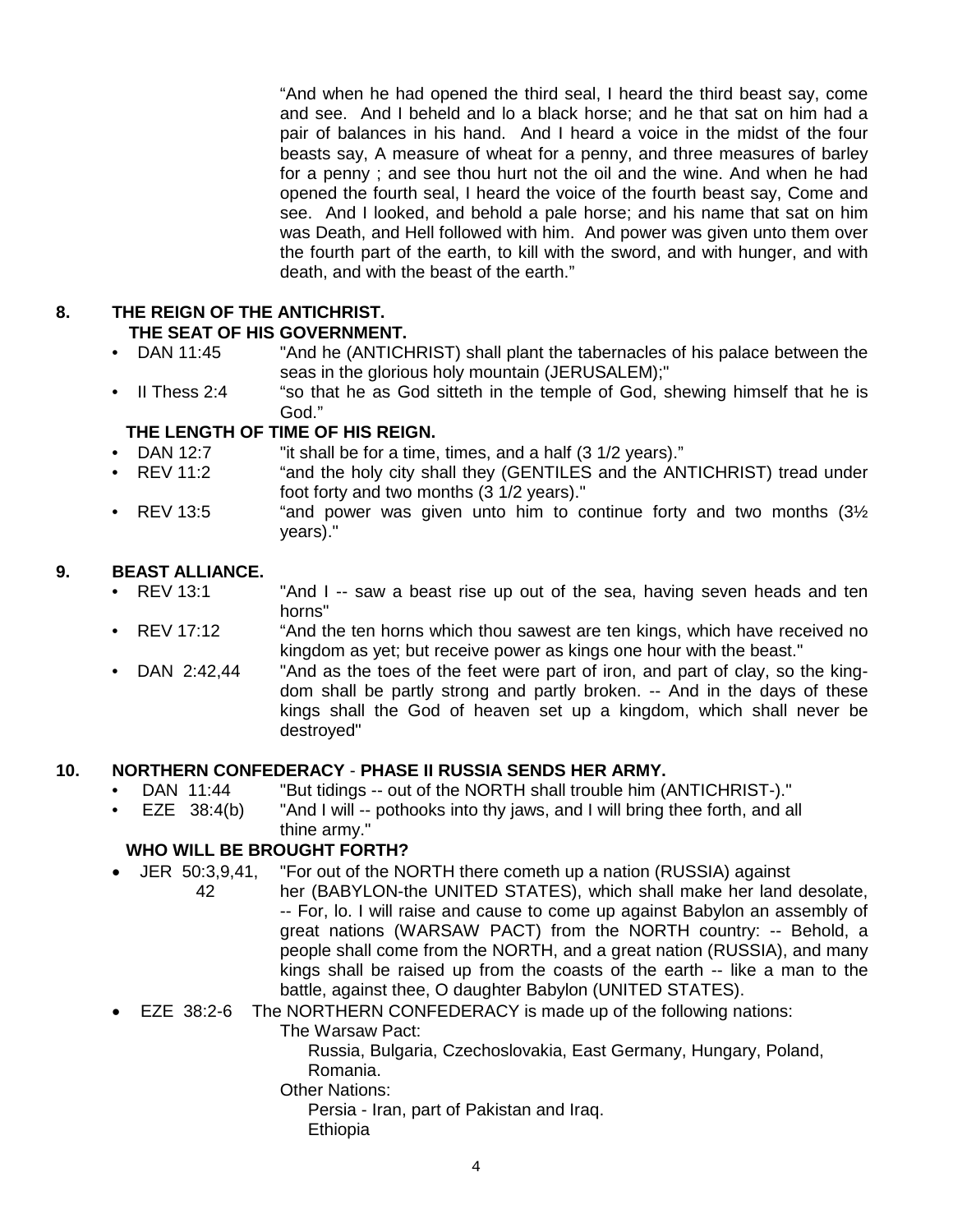"And when he had opened the third seal, I heard the third beast say, come and see. And I beheld and lo a black horse; and he that sat on him had a pair of balances in his hand. And I heard a voice in the midst of the four beasts say, A measure of wheat for a penny, and three measures of barley for a penny ; and see thou hurt not the oil and the wine. And when he had opened the fourth seal, I heard the voice of the fourth beast say, Come and see. And I looked, and behold a pale horse; and his name that sat on him was Death, and Hell followed with him. And power was given unto them over the fourth part of the earth, to kill with the sword, and with hunger, and with death, and with the beast of the earth."

#### **8. THE REIGN OF THE ANTICHRIST. THE SEAT OF HIS GOVERNMENT.**

- DAN 11:45 "And he (ANTICHRIST) shall plant the tabernacles of his palace between the seas in the glorious holy mountain (JERUSALEM);"
- II Thess 2:4 "so that he as God sitteth in the temple of God, shewing himself that he is God."

## **THE LENGTH OF TIME OF HIS REIGN.**

- DAN 12:7 "it shall be for a time, times, and a half (3 1/2 years)."
- "and the holy city shall they (GENTILES and the ANTICHRIST) tread under foot forty and two months (3 1/2 years)."
- REV 13:5  $\degree$  "and power was given unto him to continue forty and two months  $(3\frac{1}{2})$ years)."

# **9. BEAST ALLIANCE.**

- "And I -- saw a beast rise up out of the sea, having seven heads and ten horns"
- REV 17:12 "And the ten horns which thou sawest are ten kings, which have received no kingdom as yet; but receive power as kings one hour with the beast."
- DAN 2:42,44 "And as the toes of the feet were part of iron, and part of clay, so the kingdom shall be partly strong and partly broken. -- And in the days of these kings shall the God of heaven set up a kingdom, which shall never be destroyed"

# **10. NORTHERN CONFEDERACY** - **PHASE II RUSSIA SENDS HER ARMY.**

- DAN 11:44 "But tidings -- out of the NORTH shall trouble him (ANTICHRIST-)."
- EZE 38:4(b) "And I will -- pothooks into thy jaws, and I will bring thee forth, and all thine army."

# **WHO WILL BE BROUGHT FORTH?**

- JER 50:3,9,41, "For out of the NORTH there cometh up a nation (RUSSIA) against
	- 42 her (BABYLON-the UNITED STATES), which shall make her land desolate, -- For, lo. I will raise and cause to come up against Babylon an assembly of great nations (WARSAW PACT) from the NORTH country: -- Behold, a people shall come from the NORTH, and a great nation (RUSSIA), and many kings shall be raised up from the coasts of the earth -- like a man to the battle, against thee, O daughter Babylon (UNITED STATES).

# • EZE 38:2-6 The NORTHERN CONFEDERACY is made up of the following nations:

The Warsaw Pact:

Russia, Bulgaria, Czechoslovakia, East Germany, Hungary, Poland, Romania.

Other Nations:

Persia - Iran, part of Pakistan and Iraq. **Ethiopia**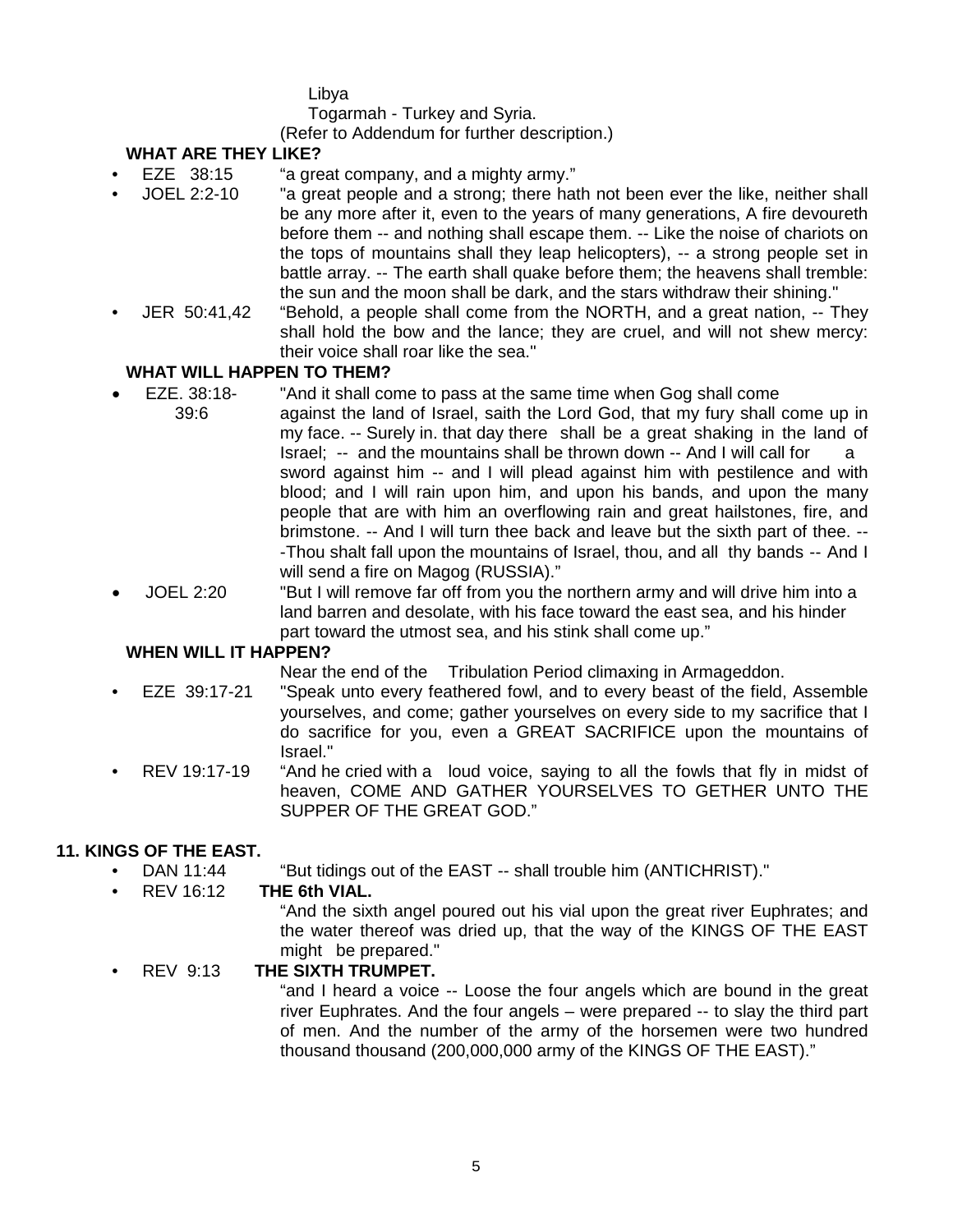Libya

Togarmah - Turkey and Syria.

(Refer to Addendum for further description.)

# **WHAT ARE THEY LIKE?**

- EZE 38:15 "a great company, and a mighty army."
- JOEL 2:2-10 "a great people and a strong; there hath not been ever the like, neither shall be any more after it, even to the years of many generations, A fire devoureth before them -- and nothing shall escape them. -- Like the noise of chariots on the tops of mountains shall they leap helicopters), -- a strong people set in battle array. -- The earth shall quake before them; the heavens shall tremble: the sun and the moon shall be dark, and the stars withdraw their shining."
- JER 50:41,42 "Behold, a people shall come from the NORTH, and a great nation, -- They shall hold the bow and the lance; they are cruel, and will not shew mercy: their voice shall roar like the sea."

## **WHAT WILL HAPPEN TO THEM?**

- EZE. 38:18- "And it shall come to pass at the same time when Gog shall come 39:6 against the land of Israel, saith the Lord God, that my fury shall come up in my face. -- Surely in. that day there shall be a great shaking in the land of Israel; -- and the mountains shall be thrown down -- And I will call for a sword against him -- and I will plead against him with pestilence and with blood; and I will rain upon him, and upon his bands, and upon the many people that are with him an overflowing rain and great hailstones, fire, and brimstone. -- And I will turn thee back and leave but the sixth part of thee. -- -Thou shalt fall upon the mountains of Israel, thou, and all thy bands -- And I will send a fire on Magog (RUSSIA)."
- JOEL 2:20 "But I will remove far off from you the northern army and will drive him into a land barren and desolate, with his face toward the east sea, and his hinder part toward the utmost sea, and his stink shall come up."

## **WHEN WILL IT HAPPEN?**

Near the end of the Tribulation Period climaxing in Armageddon.

- EZE 39:17-21 "Speak unto every feathered fowl, and to every beast of the field, Assemble yourselves, and come; gather yourselves on every side to my sacrifice that I do sacrifice for you, even a GREAT SACRIFICE upon the mountains of Israel."
- REV 19:17-19 "And he cried with a loud voice, saying to all the fowls that fly in midst of heaven, COME AND GATHER YOURSELVES TO GETHER UNTO THE SUPPER OF THE GREAT GOD."

## **11. KINGS OF THE EAST.**

- DAN 11:44 "But tidings out of the EAST -- shall trouble him (ANTICHRIST)."<br>REV 16:12 THE 6th VIAL.
- **THE 6th VIAL.**

"And the sixth angel poured out his vial upon the great river Euphrates; and the water thereof was dried up, that the way of the KINGS OF THE EAST might be prepared."

• REV 9:13 **THE SIXTH TRUMPET.**

"and I heard a voice -- Loose the four angels which are bound in the great river Euphrates. And the four angels – were prepared -- to slay the third part of men. And the number of the army of the horsemen were two hundred thousand thousand (200,000,000 army of the KINGS OF THE EAST)."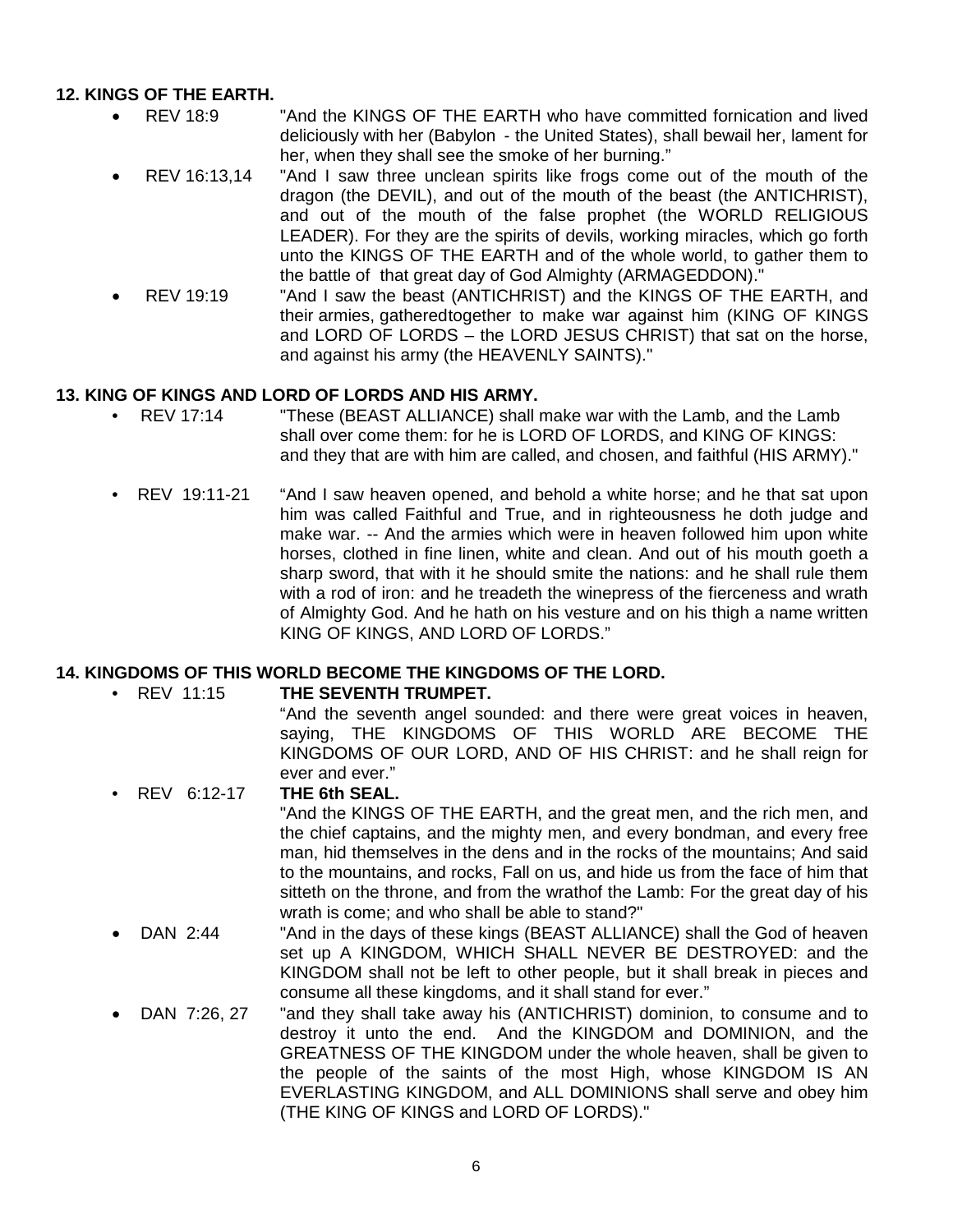## **12. KINGS OF THE EARTH.**

- REV 18:9 "And the KINGS OF THE EARTH who have committed fornication and lived deliciously with her (Babylon - the United States), shall bewail her, lament for her, when they shall see the smoke of her burning."
- REV 16:13,14 "And I saw three unclean spirits like frogs come out of the mouth of the dragon (the DEVIL), and out of the mouth of the beast (the ANTICHRIST), and out of the mouth of the false prophet (the WORLD RELIGIOUS LEADER). For they are the spirits of devils, working miracles, which go forth unto the KINGS OF THE EARTH and of the whole world, to gather them to the battle of that great day of God Almighty (ARMAGEDDON)."
- REV 19:19 "And I saw the beast (ANTICHRIST) and the KINGS OF THE EARTH, and their armies, gatheredtogether to make war against him (KING OF KINGS and LORD OF LORDS – the LORD JESUS CHRIST) that sat on the horse, and against his army (the HEAVENLY SAINTS)."

## **13. KING OF KINGS AND LORD OF LORDS AND HIS ARMY.**

- REV 17:14 "These (BEAST ALLIANCE) shall make war with the Lamb, and the Lamb shall over come them: for he is LORD OF LORDS, and KING OF KINGS: and they that are with him are called, and chosen, and faithful (HIS ARMY)."
- REV 19:11-21 "And I saw heaven opened, and behold a white horse; and he that sat upon him was called Faithful and True, and in righteousness he doth judge and make war. -- And the armies which were in heaven followed him upon white horses, clothed in fine linen, white and clean. And out of his mouth goeth a sharp sword, that with it he should smite the nations: and he shall rule them with a rod of iron: and he treadeth the winepress of the fierceness and wrath of Almighty God. And he hath on his vesture and on his thigh a name written KING OF KINGS, AND LORD OF LORDS."

# **14. KINGDOMS OF THIS WORLD BECOME THE KINGDOMS OF THE LORD.**

**THE SEVENTH TRUMPET.** 

"And the seventh angel sounded: and there were great voices in heaven, saying, THE KINGDOMS OF THIS WORLD ARE BECOME THE KINGDOMS OF OUR LORD, AND OF HIS CHRIST: and he shall reign for ever and ever."

- REV 6:12-17 **THE 6th SEAL.** "And the KINGS OF THE EARTH, and the great men, and the rich men, and the chief captains, and the mighty men, and every bondman, and every free man, hid themselves in the dens and in the rocks of the mountains; And said to the mountains, and rocks, Fall on us, and hide us from the face of him that sitteth on the throne, and from the wrathof the Lamb: For the great day of his wrath is come; and who shall be able to stand?"
- DAN 2:44 "And in the days of these kings (BEAST ALLIANCE) shall the God of heaven set up A KINGDOM, WHICH SHALL NEVER BE DESTROYED: and the KINGDOM shall not be left to other people, but it shall break in pieces and consume all these kingdoms, and it shall stand for ever."
- DAN 7:26, 27 "and they shall take away his (ANTICHRIST) dominion, to consume and to destroy it unto the end. And the KINGDOM and DOMINION, and the GREATNESS OF THE KINGDOM under the whole heaven, shall be given to the people of the saints of the most High, whose KINGDOM IS AN EVERLASTING KINGDOM, and ALL DOMINIONS shall serve and obey him (THE KING OF KINGS and LORD OF LORDS)."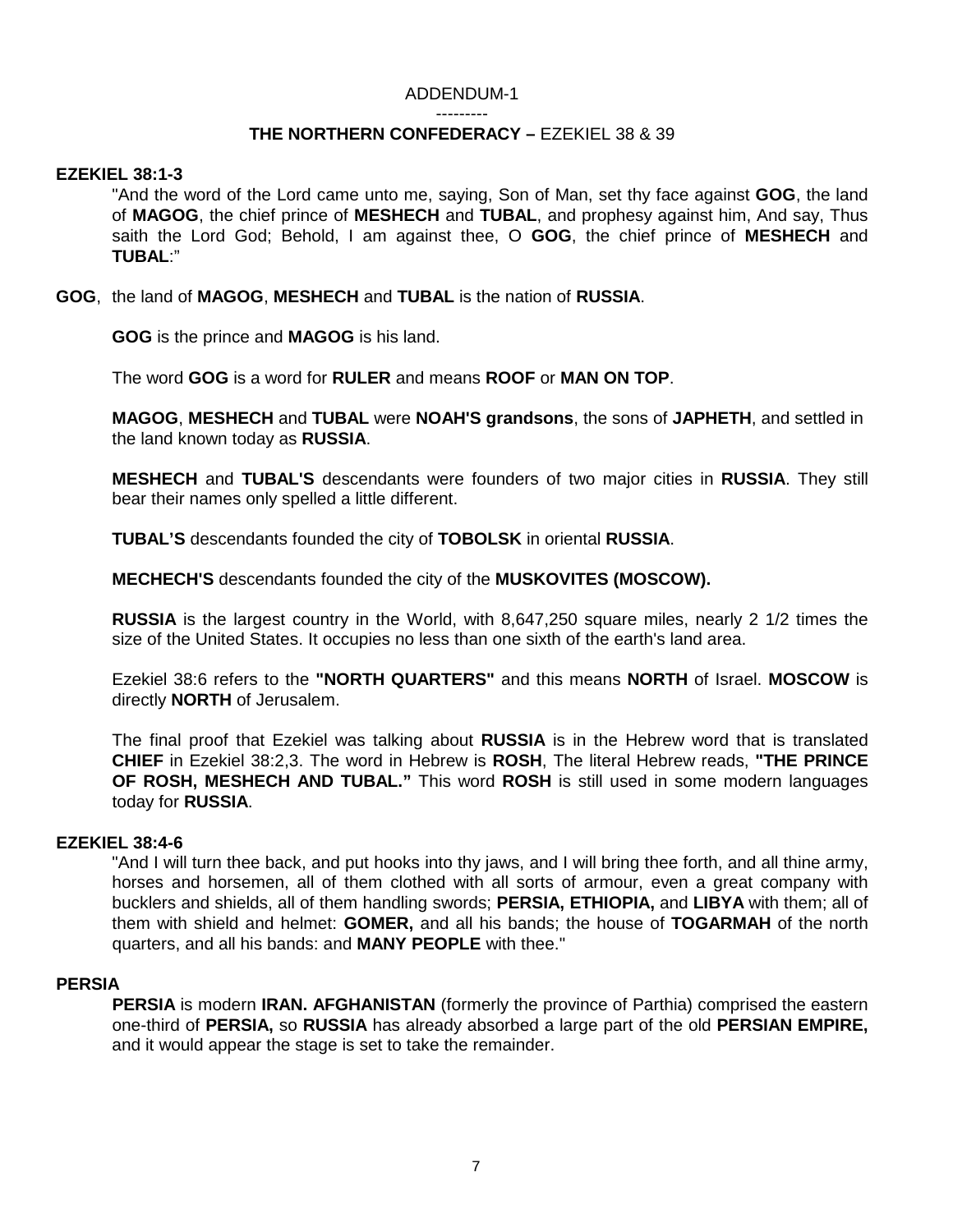#### ADDENDUM-1

---------

## **THE NORTHERN CONFEDERACY –** EZEKIEL 38 & 39

### **EZEKIEL 38:1-3**

"And the word of the Lord came unto me, saying, Son of Man, set thy face against **GOG**, the land of **MAGOG**, the chief prince of **MESHECH** and **TUBAL**, and prophesy against him, And say, Thus saith the Lord God; Behold, I am against thee, O **GOG**, the chief prince of **MESHECH** and **TUBAL**:"

**GOG**, the land of **MAGOG**, **MESHECH** and **TUBAL** is the nation of **RUSSIA**.

**GOG** is the prince and **MAGOG** is his land.

The word **GOG** is a word for **RULER** and means **ROOF** or **MAN ON TOP**.

**MAGOG**, **MESHECH** and **TUBAL** were **NOAH'S grandsons**, the sons of **JAPHETH**, and settled in the land known today as **RUSSIA**.

**MESHECH** and **TUBAL'S** descendants were founders of two major cities in **RUSSIA**. They still bear their names only spelled a little different.

**TUBAL'S** descendants founded the city of **TOBOLSK** in oriental **RUSSIA**.

**MECHECH'S** descendants founded the city of the **MUSKOVITES (MOSCOW).**

**RUSSIA** is the largest country in the World, with 8,647,250 square miles, nearly 2 1/2 times the size of the United States. It occupies no less than one sixth of the earth's land area.

Ezekiel 38:6 refers to the **"NORTH QUARTERS"** and this means **NORTH** of Israel. **MOSCOW** is directly **NORTH** of Jerusalem.

The final proof that Ezekiel was talking about **RUSSIA** is in the Hebrew word that is translated **CHIEF** in Ezekiel 38:2,3. The word in Hebrew is **ROSH**, The literal Hebrew reads, **"THE PRINCE OF ROSH, MESHECH AND TUBAL."** This word **ROSH** is still used in some modern languages today for **RUSSIA**.

### **EZEKIEL 38:4-6**

"And I will turn thee back, and put hooks into thy jaws, and I will bring thee forth, and all thine army, horses and horsemen, all of them clothed with all sorts of armour, even a great company with bucklers and shields, all of them handling swords; **PERSIA, ETHIOPIA,** and **LIBYA** with them; all of them with shield and helmet: **GOMER,** and all his bands; the house of **TOGARMAH** of the north quarters, and all his bands: and **MANY PEOPLE** with thee."

### **PERSIA**

**PERSIA** is modern **IRAN. AFGHANISTAN** (formerly the province of Parthia) comprised the eastern one-third of **PERSIA,** so **RUSSIA** has already absorbed a large part of the old **PERSIAN EMPIRE,**  and it would appear the stage is set to take the remainder.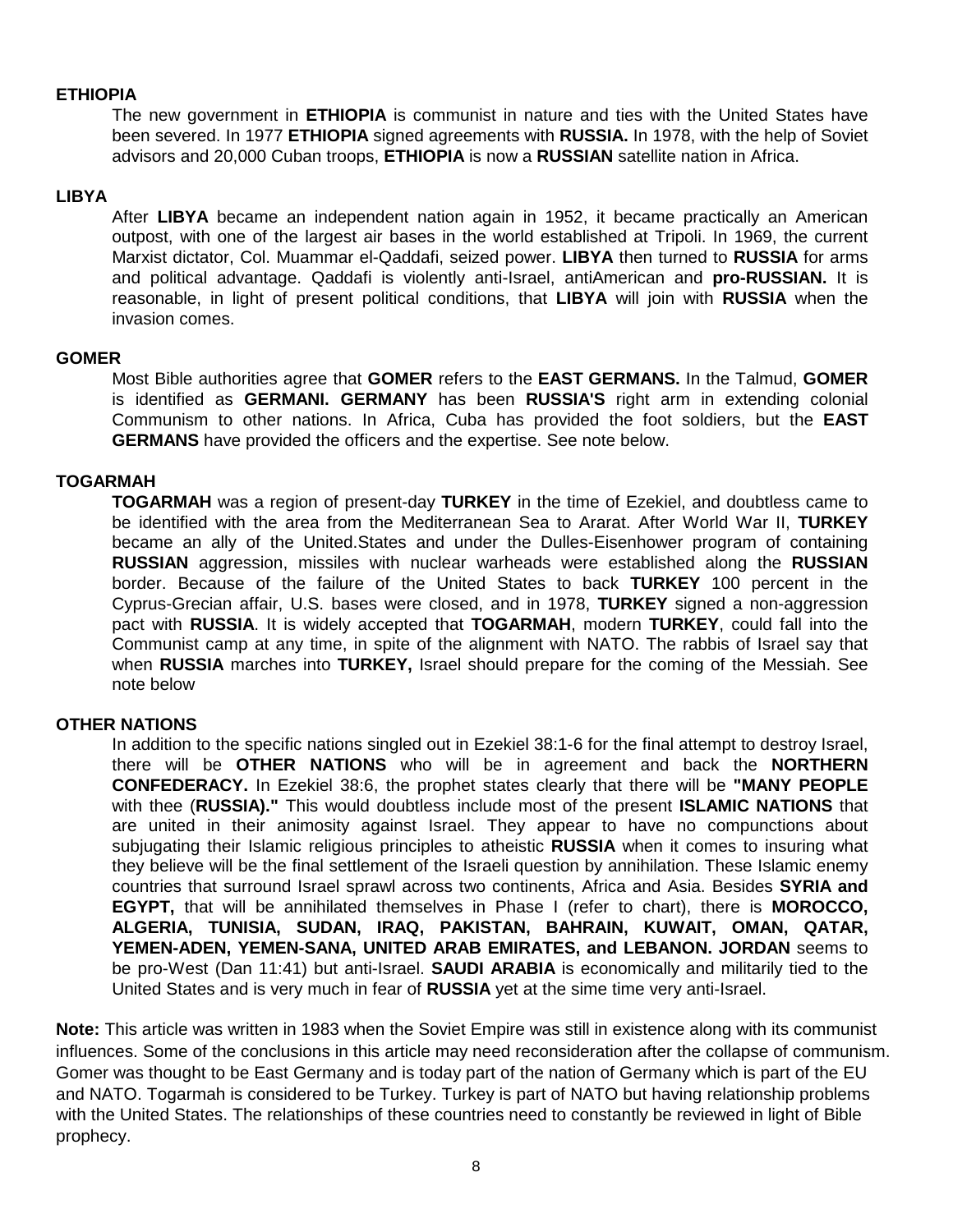## **ETHIOPIA**

The new government in **ETHIOPIA** is communist in nature and ties with the United States have been severed. In 1977 **ETHIOPIA** signed agreements with **RUSSIA.** In 1978, with the help of Soviet advisors and 20,000 Cuban troops, **ETHIOPIA** is now a **RUSSIAN** satellite nation in Africa.

### **LIBYA**

After **LIBYA** became an independent nation again in 1952, it became practically an American outpost, with one of the largest air bases in the world established at Tripoli. In 1969, the current Marxist dictator, Col. Muammar el-Qaddafi, seized power. **LIBYA** then turned to **RUSSIA** for arms and political advantage. Qaddafi is violently anti-Israel, antiAmerican and **pro-RUSSIAN.** It is reasonable, in light of present political conditions, that **LIBYA** will join with **RUSSIA** when the invasion comes.

### **GOMER**

Most Bible authorities agree that **GOMER** refers to the **EAST GERMANS.** In the Talmud, **GOMER**  is identified as **GERMANI. GERMANY** has been **RUSSIA'S** right arm in extending colonial Communism to other nations. In Africa, Cuba has provided the foot soldiers, but the **EAST GERMANS** have provided the officers and the expertise. See note below.

## **TOGARMAH**

**TOGARMAH** was a region of present-day **TURKEY** in the time of Ezekiel, and doubtless came to be identified with the area from the Mediterranean Sea to Ararat. After World War II, **TURKEY** became an ally of the United.States and under the Dulles-Eisenhower program of containing **RUSSIAN** aggression, missiles with nuclear warheads were established along the **RUSSIAN** border. Because of the failure of the United States to back **TURKEY** 100 percent in the Cyprus-Grecian affair, U.S. bases were closed, and in 1978, **TURKEY** signed a non-aggression pact with **RUSSIA**. It is widely accepted that **TOGARMAH**, modern **TURKEY**, could fall into the Communist camp at any time, in spite of the alignment with NATO. The rabbis of Israel say that when **RUSSIA** marches into **TURKEY,** Israel should prepare for the coming of the Messiah. See note below

### **OTHER NATIONS**

In addition to the specific nations singled out in Ezekiel 38:1-6 for the final attempt to destroy Israel, there will be **OTHER NATIONS** who will be in agreement and back the **NORTHERN CONFEDERACY.** In Ezekiel 38:6, the prophet states clearly that there will be **"MANY PEOPLE**  with thee (**RUSSIA)."** This would doubtless include most of the present **ISLAMIC NATIONS** that are united in their animosity against Israel. They appear to have no compunctions about subjugating their Islamic religious principles to atheistic **RUSSIA** when it comes to insuring what they believe will be the final settlement of the Israeli question by annihilation. These Islamic enemy countries that surround Israel sprawl across two continents, Africa and Asia. Besides **SYRIA and EGYPT,** that will be annihilated themselves in Phase I (refer to chart), there is **MOROCCO, ALGERIA, TUNISIA, SUDAN, IRAQ, PAKISTAN, BAHRAIN, KUWAIT, OMAN, QATAR, YEMEN-ADEN, YEMEN-SANA, UNITED ARAB EMIRATES, and LEBANON. JORDAN** seems to be pro-West (Dan 11:41) but anti-Israel. **SAUDI ARABIA** is economically and militarily tied to the United States and is very much in fear of **RUSSIA** yet at the sime time very anti-Israel.

**Note:** This article was written in 1983 when the Soviet Empire was still in existence along with its communist influences. Some of the conclusions in this article may need reconsideration after the collapse of communism. Gomer was thought to be East Germany and is today part of the nation of Germany which is part of the EU and NATO. Togarmah is considered to be Turkey. Turkey is part of NATO but having relationship problems with the United States. The relationships of these countries need to constantly be reviewed in light of Bible prophecy.